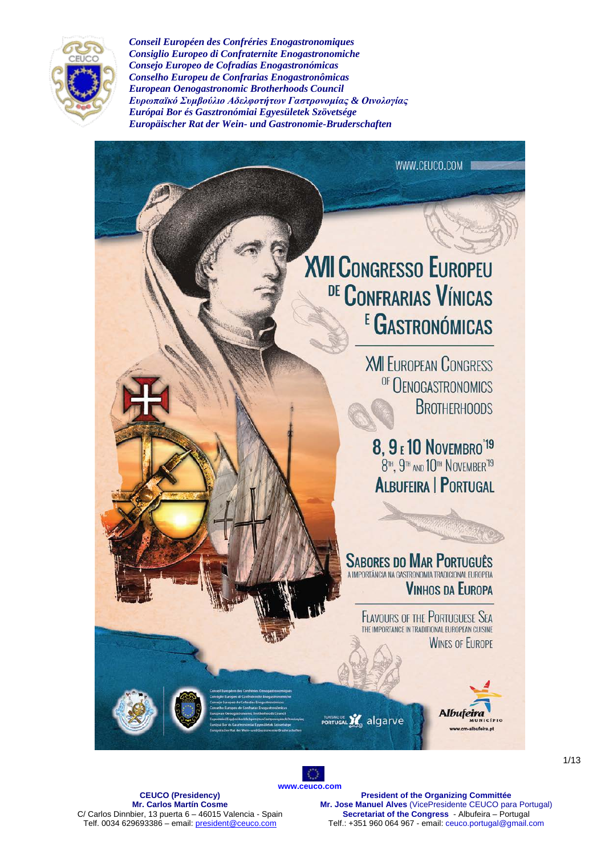

WWW.CEUCO.COM **XVII CONGRESSO EUROPEU** DE CONFRARIAS VÍNICAS <sup>E</sup> GASTRONÓMICAS **XVII EUROPEAN CONGRESS** OF OENOGASTRONOMICS **BROTHERHOODS 8, 9 E 10 NOVEMBRO**<sup>'19</sup><br>8<sup>H</sup>, 9<sup>H</sup> and 10<sup>H</sup> NOVEMBER<sup>19</sup> **ALBUFEIRA | PORTUGAL SABORES DO MAR PORTUGUÊS** A IMPORTÂNCIA NA GASTRONOMIA TRADICIONAL FUROPFIA **VINHOS DA EUROPA FLAVOURS OF THE PORTUGUESE SEA** THE IMPORTANCE IN TRADITIONAL EUROPEAN CUISINE **WINES OF EUROPE** Albufoiro **TURISMODE** 22 algarve

**[www.ceuco.com](http://www.ceuco.com/)**

O

**CEUCO (Presidency) Mr. Carlos Martín Cosme** C/ Carlos Dinnbier, 13 puerta 6 – 46015 Valencia - Spain Telf. 0034 629693386 – email[: president@ceuco.com](mailto:president@ceuco.com)

**President of the Organizing Committée Mr. Jose Manuel Alves** (VicePresidente CEUCO para Portugal) **Secretariat of the Congress** - Albufeira – Portugal Telf.: +351 960 064 967 - email: ceuco.portugal@gmail.com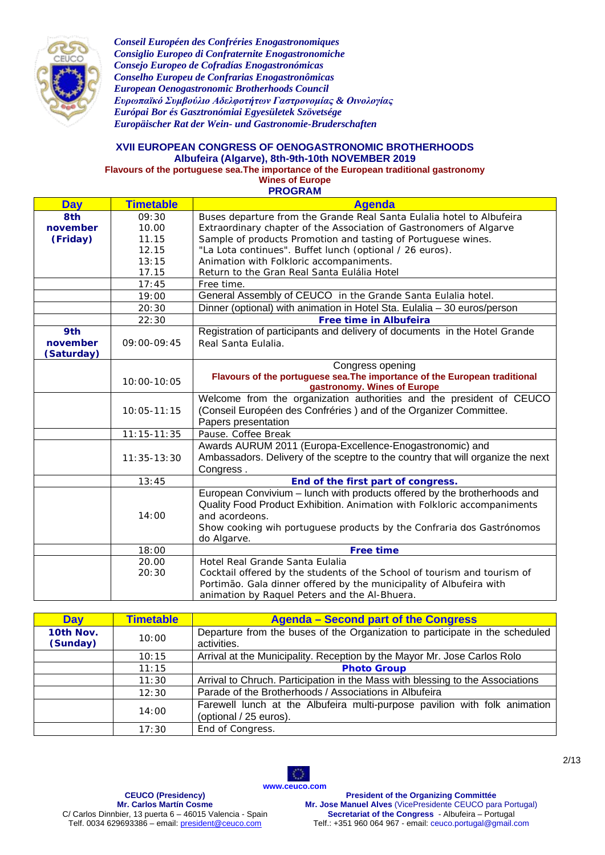

#### **XVII EUROPEAN CONGRESS OF OENOGASTRONOMIC BROTHERHOODS Albufeira (Algarve), 8th-9th-10th NOVEMBER 2019 Flavours of the portuguese sea.The importance of the European traditional gastronomy**

**Wines of Europe**

**PROGRAM**

| <b>Day</b> | <b>Timetable</b> | <b>Agenda</b>                                                                   |  |
|------------|------------------|---------------------------------------------------------------------------------|--|
| 8th        | 09:30            | Buses departure from the Grande Real Santa Eulalia hotel to Albufeira           |  |
| november   | 10.00            | Extraordinary chapter of the Association of Gastronomers of Algarve             |  |
| (Friday)   | 11.15            | Sample of products Promotion and tasting of Portuguese wines.                   |  |
|            | 12.15            | "La Lota continues". Buffet lunch (optional / 26 euros).                        |  |
|            | 13:15            | Animation with Folkloric accompaniments.                                        |  |
|            | 17.15            | Return to the Gran Real Santa Eulália Hotel                                     |  |
|            | 17:45            | Free time.                                                                      |  |
|            | 19:00            | General Assembly of CEUCO in the Grande Santa Eulalia hotel.                    |  |
|            | 20:30            | Dinner (optional) with animation in Hotel Sta. Eulalia - 30 euros/person        |  |
|            | 22:30            | Free time in Albufeira                                                          |  |
| 9th        |                  | Registration of participants and delivery of documents in the Hotel Grande      |  |
| november   | 09:00-09:45      | Real Santa Eulalia.                                                             |  |
| (Saturday) |                  |                                                                                 |  |
|            |                  | Congress opening                                                                |  |
|            | $10:00 - 10:05$  | Flavours of the portuguese sea. The importance of the European traditional      |  |
|            |                  | gastronomy. Wines of Europe                                                     |  |
|            |                  | Welcome from the organization authorities and the president of CEUCO            |  |
|            | $10:05 - 11:15$  | (Conseil Européen des Confréries) and of the Organizer Committee.               |  |
|            |                  | Papers presentation                                                             |  |
|            | $11:15 - 11:35$  | Pause. Coffee Break                                                             |  |
|            |                  | Awards AURUM 2011 (Europa-Excellence-Enogastronomic) and                        |  |
|            | $11:35-13:30$    | Ambassadors. Delivery of the sceptre to the country that will organize the next |  |
|            |                  | Congress.                                                                       |  |
|            | 13:45            | End of the first part of congress.                                              |  |
|            |                  | European Convivium - lunch with products offered by the brotherhoods and        |  |
|            |                  | Quality Food Product Exhibition. Animation with Folkloric accompaniments        |  |
|            | 14:00            | and acordeons.                                                                  |  |
|            |                  | Show cooking wih portuguese products by the Confraria dos Gastrónomos           |  |
|            |                  | do Algarve.                                                                     |  |
|            | 18:00            | <b>Free time</b>                                                                |  |
|            | 20.00            | Hotel Real Grande Santa Eulalia                                                 |  |
|            | 20:30            | Cocktail offered by the students of the School of tourism and tourism of        |  |
|            |                  | Portimão. Gala dinner offered by the municipality of Albufeira with             |  |
|            |                  | animation by Raquel Peters and the Al-Bhuera.                                   |  |

| <b>Day</b>            | <b>Timetable</b> | <b>Agenda – Second part of the Congress</b>                                                          |  |  |
|-----------------------|------------------|------------------------------------------------------------------------------------------------------|--|--|
| 10th Nov.<br>(Sunday) | 10:00            | Departure from the buses of the Organization to participate in the scheduled<br>activities.          |  |  |
|                       | 10:15            | Arrival at the Municipality. Reception by the Mayor Mr. Jose Carlos Rolo                             |  |  |
|                       | 11:15            | <b>Photo Group</b>                                                                                   |  |  |
|                       | 11:30            | Arrival to Chruch. Participation in the Mass with blessing to the Associations                       |  |  |
|                       | 12:30            | Parade of the Brotherhoods / Associations in Albufeira                                               |  |  |
|                       | 14:00            | Farewell lunch at the Albufeira multi-purpose pavilion with folk animation<br>(optional / 25 euros). |  |  |
|                       | 17:30            | End of Congress.                                                                                     |  |  |

O

**[www.ceuco.com](http://www.ceuco.com/) CEUCO (Presidency) Mr. Carlos Martín Cosme** C/ Carlos Dinnbier, 13 puerta 6 – 46015 Valencia - Spain Telf. 0034 629693386 – email[: president@ceuco.com](mailto:president@ceuco.com)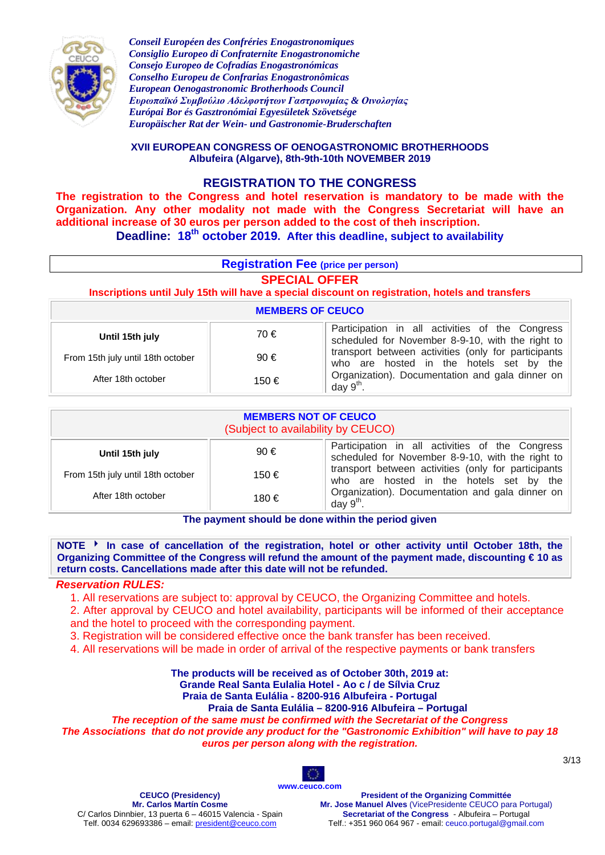

**XVII EUROPEAN CONGRESS OF OENOGASTRONOMIC BROTHERHOODS Albufeira (Algarve), 8th-9th-10th NOVEMBER 2019**

## **REGISTRATION TO THE CONGRESS**

**The registration to the Congress and hotel reservation is mandatory to be made with the Organization. Any other modality not made with the Congress Secretariat will have an additional increase of 30 euros per person added to the cost of theh inscription. Deadline: 18th october 2019. After this deadline, subject to availability**

| <b>Registration Fee (price per person)</b><br><b>SPECIAL OFFER</b><br>Inscriptions until July 15th will have a special discount on registration, hotels and transfers |                                                                                                            |                                                                                                |  |  |
|-----------------------------------------------------------------------------------------------------------------------------------------------------------------------|------------------------------------------------------------------------------------------------------------|------------------------------------------------------------------------------------------------|--|--|
| <b>MEMBERS OF CEUCO</b>                                                                                                                                               |                                                                                                            |                                                                                                |  |  |
| Until 15th july                                                                                                                                                       | Participation in all activities of the Congress<br>70€<br>scheduled for November 8-9-10, with the right to |                                                                                                |  |  |
| From 15th july until 18th october                                                                                                                                     | $90 \in$                                                                                                   | transport between activities (only for participants<br>who are hosted in the hotels set by the |  |  |
| After 18th october                                                                                                                                                    | 150€                                                                                                       | Organization). Documentation and gala dinner on<br>day $9th$ .                                 |  |  |

| <b>MEMBERS NOT OF CEUCO</b><br>(Subject to availability by CEUCO) |          |                                                                                                     |  |  |
|-------------------------------------------------------------------|----------|-----------------------------------------------------------------------------------------------------|--|--|
| Until 15th july                                                   | $90 \in$ | Participation in all activities of the Congress<br>scheduled for November 8-9-10, with the right to |  |  |
| From 15th july until 18th october                                 | 150 €    | transport between activities (only for participants<br>who are hosted in the hotels set by the      |  |  |
| After 18th october                                                | 180 €    | Organization). Documentation and gala dinner on<br>day $9th$ .                                      |  |  |

**The payment should be done within the period given**

NOTE **▶** In case of cancellation of the registration, hotel or other activity until October 18th, the **Organizing Committee of the Congress will refund the amount of the payment made, discounting € 10 as return costs. Cancellations made after this date will not be refunded.**

#### *Reservation RULES:*

1. All reservations are subject to: approval by CEUCO, the Organizing Committee and hotels.

2. After approval by CEUCO and hotel availability, participants will be informed of their acceptance and the hotel to proceed with the corresponding payment.

3. Registration will be considered effective once the bank transfer has been received.

4. All reservations will be made in order of arrival of the respective payments or bank transfers

**The products will be received as of October 30th, 2019 at: Grande Real Santa Eulalia Hotel - Ao c / de Sílvia Cruz Praia de Santa Eulália - 8200-916 Albufeira - Portugal**

**Praia de Santa Eulália – 8200-916 Albufeira – Portugal**

*The reception of the same must be confirmed with the Secretariat of the Congress*

*The Associations that do not provide any product for the "Gastronomic Exhibition" will have to pay 18 euros per person along with the registration.*



**CEUCO (Presidency) Mr. Carlos Martín Cosme** C/ Carlos Dinnbier, 13 puerta 6 – 46015 Valencia - Spain Telf. 0034 629693386 – email[: president@ceuco.com](mailto:president@ceuco.com)

**President of the Organizing Committée Mr. Jose Manuel Alves** (VicePresidente CEUCO para Portugal) **Secretariat of the Congress** - Albufeira – Portugal Telf.: +351 960 064 967 - email: ceuco.portugal@gmail.com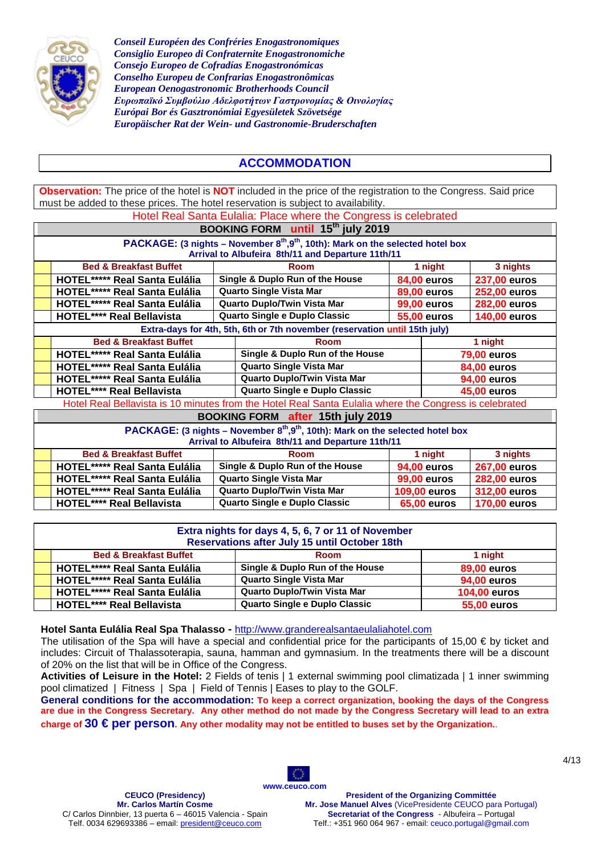

# **ACCOMMODATION**

**Observation:** The price of the hotel is **NOT** included in the price of the registration to the Congress. Said price must be added to these prices. The hotel reservation is subject to availability.

|                                                                                                                                                              | Hotel Real Santa Eulalia: Place where the Congress is celebrated                                       |                                      |                                                   |  |                     |                     |  |
|--------------------------------------------------------------------------------------------------------------------------------------------------------------|--------------------------------------------------------------------------------------------------------|--------------------------------------|---------------------------------------------------|--|---------------------|---------------------|--|
|                                                                                                                                                              | BOOKING FORM until 15 <sup>th</sup> july 2019                                                          |                                      |                                                   |  |                     |                     |  |
|                                                                                                                                                              | <b>PACKAGE:</b> (3 nights – November $8th, 9th$ , 10th): Mark on the selected hotel box                |                                      |                                                   |  |                     |                     |  |
|                                                                                                                                                              |                                                                                                        |                                      | Arrival to Albufeira 8th/11 and Departure 11th/11 |  |                     |                     |  |
|                                                                                                                                                              | <b>Bed &amp; Breakfast Buffet</b>                                                                      |                                      | <b>Room</b>                                       |  | 1 night             | 3 nights            |  |
|                                                                                                                                                              | <b>HOTEL***** Real Santa Eulália</b>                                                                   |                                      | Single & Duplo Run of the House                   |  | <b>84,00 euros</b>  | 237,00 euros        |  |
|                                                                                                                                                              | <b>HOTEL***** Real Santa Eulália</b>                                                                   |                                      | Quarto Single Vista Mar                           |  | <b>89,00 euros</b>  | <b>252,00 euros</b> |  |
|                                                                                                                                                              | <b>HOTEL***** Real Santa Eulália</b>                                                                   |                                      | <b>Quarto Duplo/Twin Vista Mar</b>                |  | <b>99,00 euros</b>  | <b>282,00 euros</b> |  |
|                                                                                                                                                              | <b>HOTEL**** Real Bellavista</b>                                                                       |                                      | Quarto Single e Duplo Classic                     |  | <b>55,00 euros</b>  | <b>140,00 euros</b> |  |
|                                                                                                                                                              | Extra-days for 4th, 5th, 6th or 7th november (reservation until 15th july)                             |                                      |                                                   |  |                     |                     |  |
|                                                                                                                                                              | <b>Bed &amp; Breakfast Buffet</b>                                                                      |                                      | <b>Room</b>                                       |  | 1 night             |                     |  |
|                                                                                                                                                              | <b>HOTEL***** Real Santa Eulália</b>                                                                   |                                      | Single & Duplo Run of the House                   |  | <b>79,00 euros</b>  |                     |  |
| <b>HOTEL***** Real Santa Eulália</b>                                                                                                                         |                                                                                                        |                                      | <b>Quarto Single Vista Mar</b>                    |  |                     | <b>84,00 euros</b>  |  |
| <b>HOTEL***** Real Santa Eulália</b>                                                                                                                         |                                                                                                        |                                      | Quarto Duplo/Twin Vista Mar                       |  |                     | <b>94,00 euros</b>  |  |
| <b>HOTEL**** Real Bellavista</b>                                                                                                                             |                                                                                                        | <b>Quarto Single e Duplo Classic</b> |                                                   |  | 45,00 euros         |                     |  |
|                                                                                                                                                              | Hotel Real Bellavista is 10 minutes from the Hotel Real Santa Eulalia where the Congress is celebrated |                                      |                                                   |  |                     |                     |  |
| <b>BOOKING FORM after 15th july 2019</b>                                                                                                                     |                                                                                                        |                                      |                                                   |  |                     |                     |  |
| PACKAGE: (3 nights - November 8 <sup>th</sup> , 9 <sup>th</sup> , 10th): Mark on the selected hotel box<br>Arrival to Albufeira 8th/11 and Departure 11th/11 |                                                                                                        |                                      |                                                   |  |                     |                     |  |
| <b>Bed &amp; Breakfast Buffet</b><br><b>Room</b><br>1 night                                                                                                  |                                                                                                        |                                      | 3 nights                                          |  |                     |                     |  |
|                                                                                                                                                              | <b>HOTEL***** Real Santa Eulália</b>                                                                   |                                      | Single & Duplo Run of the House                   |  | <b>94,00 euros</b>  | <b>267,00 euros</b> |  |
|                                                                                                                                                              | <b>HOTEL***** Real Santa Eulália</b>                                                                   |                                      | <b>Quarto Single Vista Mar</b>                    |  | <b>99,00 euros</b>  | <b>282,00 euros</b> |  |
|                                                                                                                                                              | HOTEL***** Real Santa Eulália                                                                          |                                      | <b>Quarto Duplo/Twin Vista Mar</b>                |  | <b>109,00 euros</b> | 312,00 euros        |  |

| Extra nights for days 4, 5, 6, 7 or 11 of November<br><b>Reservations after July 15 until October 18th</b> |                                    |                     |  |  |
|------------------------------------------------------------------------------------------------------------|------------------------------------|---------------------|--|--|
| <b>Bed &amp; Breakfast Buffet</b><br>1 night<br><b>Room</b>                                                |                                    |                     |  |  |
| <b>HOTEL***** Real Santa Eulália</b>                                                                       | Single & Duplo Run of the House    | <b>89,00 euros</b>  |  |  |
| <b>HOTEL***** Real Santa Eulália</b>                                                                       | <b>Quarto Single Vista Mar</b>     | <b>94,00 euros</b>  |  |  |
| <b>HOTEL***** Real Santa Eulália</b>                                                                       | <b>Quarto Duplo/Twin Vista Mar</b> | <b>104,00 euros</b> |  |  |
| <b>HOTEL**** Real Bellavista</b>                                                                           | Quarto Single e Duplo Classic      | <b>55,00 euros</b>  |  |  |

**HOTEL\*\*\*\* Real Bellavista Quarto Single e Duplo Classic 65,00 euros 170,00 euros**

**Hotel Santa Eulália Real Spa Thalasso -** [http://www.granderealsantaeulaliahotel.com](http://www.granderealsantaeulaliahotel.com/)

The utilisation of the Spa will have a special and confidential price for the participants of 15,00  $\epsilon$  by ticket and includes: Circuit of Thalassoterapia, sauna, hamman and gymnasium. In the treatments there will be a discount of 20% on the list that will be in Office of the Congress.

**Activities of Leisure in the Hotel:** 2 Fields of tenis | 1 external swimming pool climatizada | 1 inner swimming pool climatized | Fitness | Spa | Field of Tennis | Eases to play to the GOLF.

**General conditions for the accommodation: To keep a correct organization, booking the days of the Congress are due in the Congress Secretary. Any other method do not made by the Congress Secretary will lead to an extra charge of 30 € per person. Any other modality may not be entitled to buses set by the Organization.**.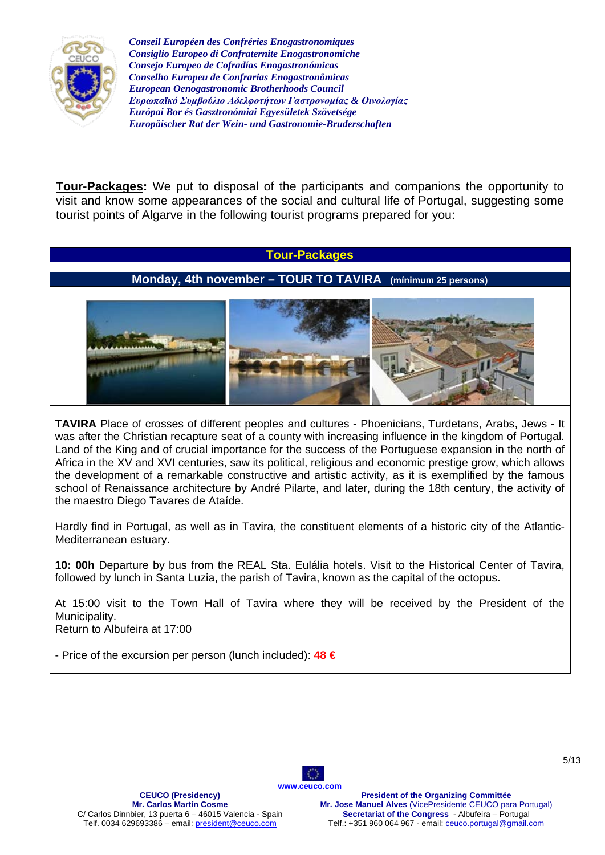

**Tour-Packages:** We put to disposal of the participants and companions the opportunity to visit and know some appearances of the social and cultural life of Portugal, suggesting some tourist points of Algarve in the following tourist programs prepared for you:

#### **Tour-Packages**

### **Monday, 4th november – TOUR TO TAVIRA (mínimum 25 persons)**



**TAVIRA** Place of crosses of different peoples and cultures - Phoenicians, Turdetans, Arabs, Jews - It was after the Christian recapture seat of a county with increasing influence in the kingdom of Portugal. Land of the King and of crucial importance for the success of the Portuguese expansion in the north of Africa in the XV and XVI centuries, saw its political, religious and economic prestige grow, which allows the development of a remarkable constructive and artistic activity, as it is exemplified by the famous school of Renaissance architecture by André Pilarte, and later, during the 18th century, the activity of the maestro Diego Tavares de Ataíde.

Hardly find in Portugal, as well as in Tavira, the constituent elements of a historic city of the Atlantic-Mediterranean estuary.

**10: 00h** Departure by bus from the REAL Sta. Eulália hotels. Visit to the Historical Center of Tavira, followed by lunch in Santa Luzia, the parish of Tavira, known as the capital of the octopus.

At 15:00 visit to the Town Hall of Tavira where they will be received by the President of the Municipality. Return to Albufeira at 17:00

- Price of the excursion per person (lunch included): **48 €**

**CEUCO (Presidency) Mr. Carlos Martín Cosme** C/ Carlos Dinnbier, 13 puerta 6 – 46015 Valencia - Spain Telf. 0034 629693386 – email[: president@ceuco.com](mailto:president@ceuco.com)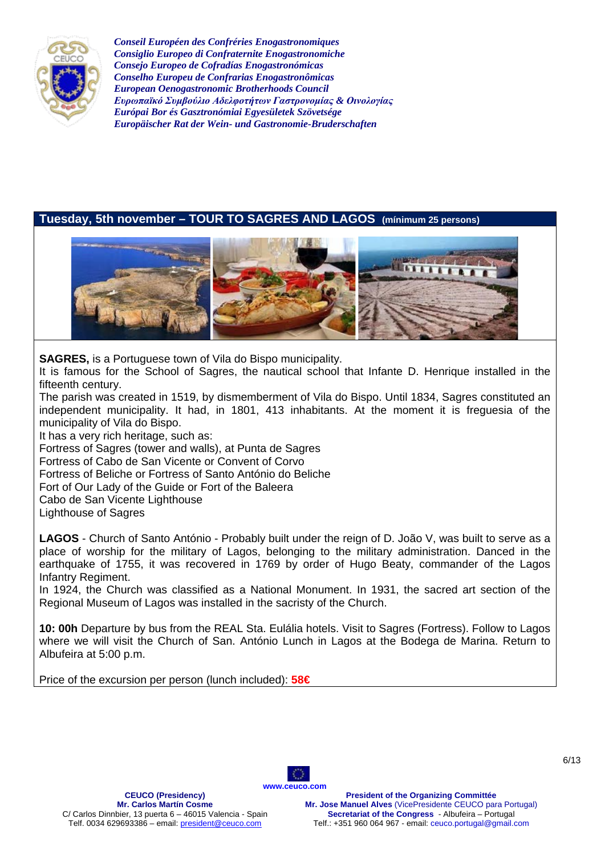

## **Tuesday, 5th november – TOUR TO SAGRES AND LAGOS (mínimum 25 persons)**



**SAGRES,** is a Portuguese town of Vila do Bispo municipality.

It is famous for the School of Sagres, the nautical school that Infante D. Henrique installed in the fifteenth century.

The parish was created in 1519, by dismemberment of Vila do Bispo. Until 1834, Sagres constituted an independent municipality. It had, in 1801, 413 inhabitants. At the moment it is freguesia of the municipality of Vila do Bispo.

It has a very rich heritage, such as:

Fortress of Sagres (tower and walls), at Punta de Sagres

Fortress of Cabo de San Vicente or Convent of Corvo

Fortress of Beliche or Fortress of Santo António do Beliche

Fort of Our Lady of the Guide or Fort of the Baleera

Cabo de San Vicente Lighthouse

Lighthouse of Sagres

**LAGOS** - Church of Santo António - Probably built under the reign of D. João V, was built to serve as a place of worship for the military of Lagos, belonging to the military administration. Danced in the earthquake of 1755, it was recovered in 1769 by order of Hugo Beaty, commander of the Lagos Infantry Regiment.

In 1924, the Church was classified as a National Monument. In 1931, the sacred art section of the Regional Museum of Lagos was installed in the sacristy of the Church.

**10: 00h** Departure by bus from the REAL Sta. Eulália hotels. Visit to Sagres (Fortress). Follow to Lagos where we will visit the Church of San. António Lunch in Lagos at the Bodega de Marina. Return to Albufeira at 5:00 p.m.

**[www.ceuco.com](http://www.ceuco.com/)**

**A** 

Price of the excursion per person (lunch included): **58€**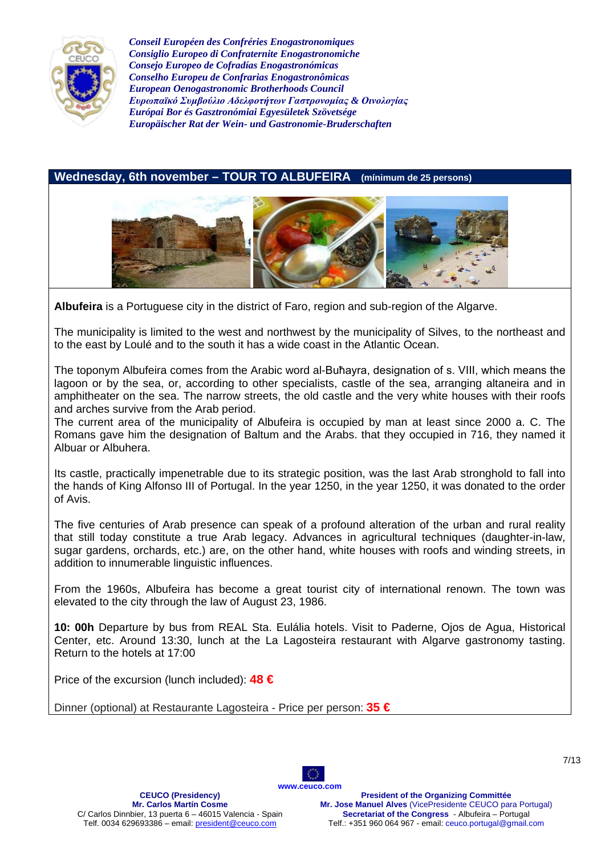

**Wednesday, 6th november – TOUR TO ALBUFEIRA (mínimum de 25 persons)**



**Albufeira** is a Portuguese city in the district of Faro, region and sub-region of the Algarve.

The municipality is limited to the west and northwest by the municipality of Silves, to the northeast and to the east by Loulé and to the south it has a wide coast in the Atlantic Ocean.

The toponym Albufeira comes from the Arabic word al-Buħayra, designation of s. VIII, which means the lagoon or by the sea, or, according to other specialists, castle of the sea, arranging altaneira and in amphitheater on the sea. The narrow streets, the old castle and the very white houses with their roofs and arches survive from the Arab period.

The current area of the municipality of Albufeira is occupied by man at least since 2000 a. C. The Romans gave him the designation of Baltum and the Arabs. that they occupied in 716, they named it Albuar or Albuhera.

Its castle, practically impenetrable due to its strategic position, was the last Arab stronghold to fall into the hands of King Alfonso III of Portugal. In the year 1250, in the year 1250, it was donated to the order of Avis.

The five centuries of Arab presence can speak of a profound alteration of the urban and rural reality that still today constitute a true Arab legacy. Advances in agricultural techniques (daughter-in-law, sugar gardens, orchards, etc.) are, on the other hand, white houses with roofs and winding streets, in addition to innumerable linguistic influences.

From the 1960s, Albufeira has become a great tourist city of international renown. The town was elevated to the city through the law of August 23, 1986.

**10: 00h** Departure by bus from REAL Sta. Eulália hotels. Visit to Paderne, Ojos de Agua, Historical Center, etc. Around 13:30, lunch at the La Lagosteira restaurant with Algarve gastronomy tasting. Return to the hotels at 17:00

O

Price of the excursion (lunch included): **48 €**

Dinner (optional) at Restaurante Lagosteira - Price per person: **35 €**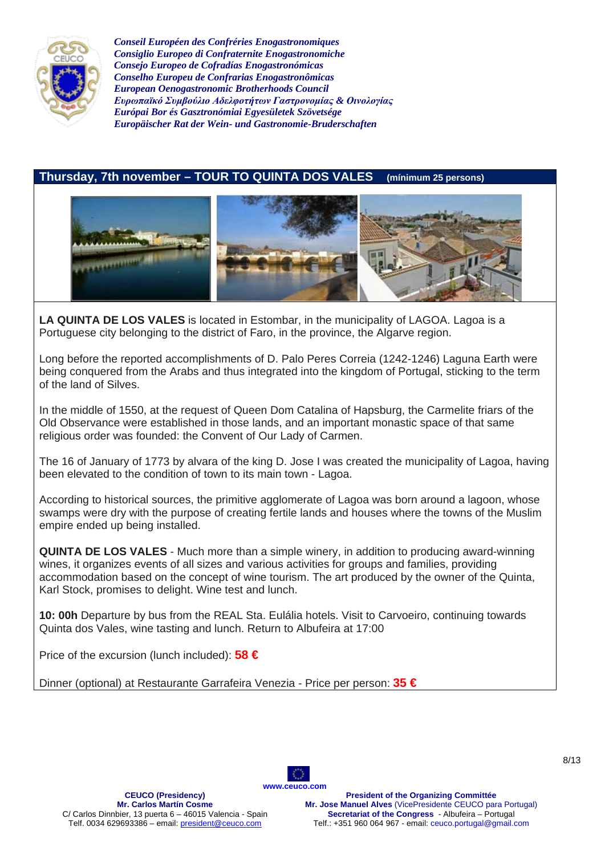

# **Thursday, 7th november – TOUR TO QUINTA DOS VALES (mínimum 25 persons)**



**LA QUINTA DE LOS VALES** is located in Estombar, in the municipality of LAGOA. Lagoa is a Portuguese city belonging to the district of Faro, in the province, the Algarve region.

Long before the reported accomplishments of D. Palo Peres Correia (1242-1246) Laguna Earth were being conquered from the Arabs and thus integrated into the kingdom of Portugal, sticking to the term of the land of Silves.

In the middle of 1550, at the request of Queen Dom Catalina of Hapsburg, the Carmelite friars of the Old Observance were established in those lands, and an important monastic space of that same religious order was founded: the Convent of Our Lady of Carmen.

The 16 of January of 1773 by alvara of the king D. Jose I was created the municipality of Lagoa, having been elevated to the condition of town to its main town - Lagoa.

According to historical sources, the primitive agglomerate of Lagoa was born around a lagoon, whose swamps were dry with the purpose of creating fertile lands and houses where the towns of the Muslim empire ended up being installed.

**QUINTA DE LOS VALES** - Much more than a simple winery, in addition to producing award-winning wines, it organizes events of all sizes and various activities for groups and families, providing accommodation based on the concept of wine tourism. The art produced by the owner of the Quinta, Karl Stock, promises to delight. Wine test and lunch.

**10: 00h** Departure by bus from the REAL Sta. Eulália hotels. Visit to Carvoeiro, continuing towards Quinta dos Vales, wine tasting and lunch. Return to Albufeira at 17:00

Price of the excursion (lunch included): **58 €**

Dinner (optional) at Restaurante Garrafeira Venezia - Price per person: **35 €**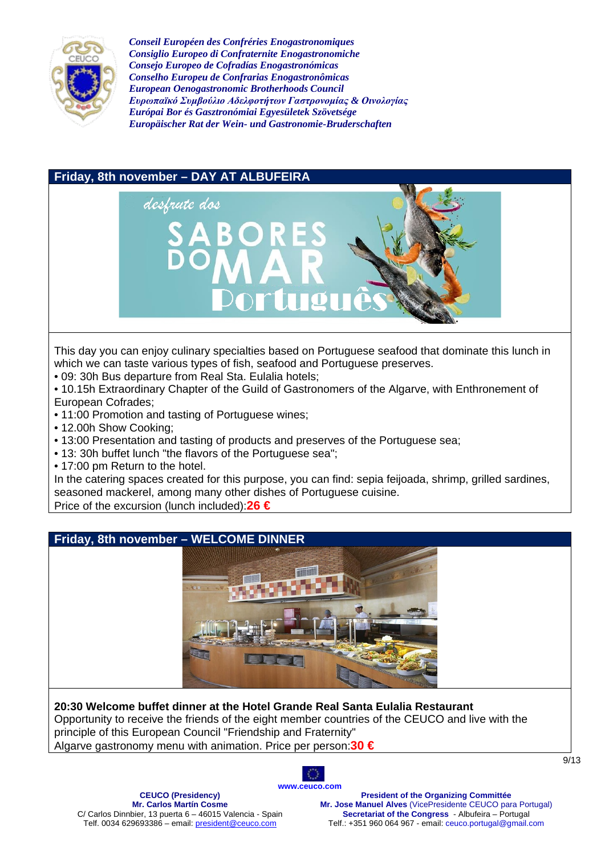



This day you can enjoy culinary specialties based on Portuguese seafood that dominate this lunch in which we can taste various types of fish, seafood and Portuguese preserves.

• 09: 30h Bus departure from Real Sta. Eulalia hotels;

• 10.15h Extraordinary Chapter of the Guild of Gastronomers of the Algarve, with Enthronement of European Cofrades;

- 11:00 Promotion and tasting of Portuguese wines;
- 12.00h Show Cooking;
- 13:00 Presentation and tasting of products and preserves of the Portuguese sea;
- 13: 30h buffet lunch "the flavors of the Portuguese sea";
- 17:00 pm Return to the hotel.

In the catering spaces created for this purpose, you can find: sepia feijoada, shrimp, grilled sardines, seasoned mackerel, among many other dishes of Portuguese cuisine.

Price of the excursion (lunch included):**26 €**



**20:30 Welcome buffet dinner at the Hotel Grande Real Santa Eulalia Restaurant** Opportunity to receive the friends of the eight member countries of the CEUCO and live with the principle of this European Council "Friendship and Fraternity" Algarve gastronomy menu with animation. Price per person:**30 €**

> **O [www.ceuco.com](http://www.ceuco.com/)**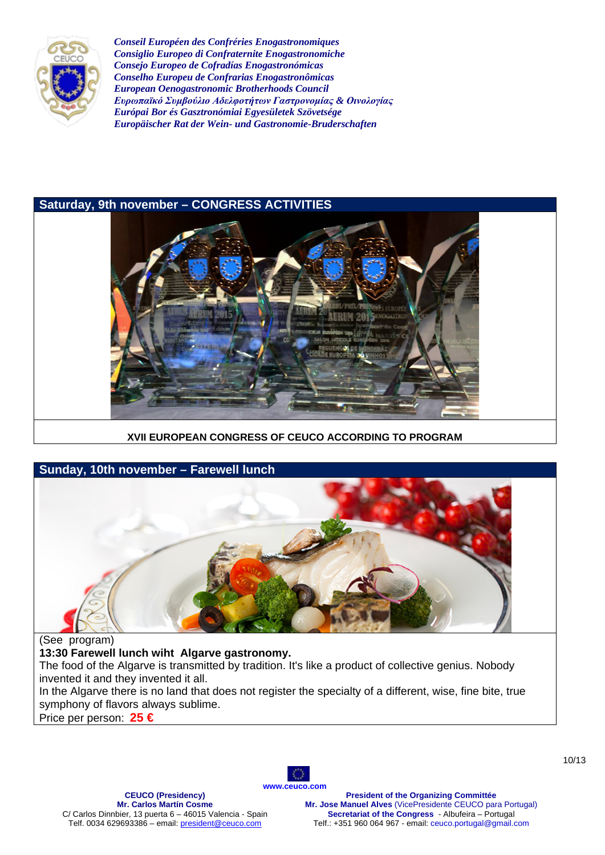



#### **XVII EUROPEAN CONGRESS OF CEUCO ACCORDING TO PROGRAM**



The food of the Algarve is transmitted by tradition. It's like a product of collective genius. Nobody invented it and they invented it all.

In the Algarve there is no land that does not register the specialty of a different, wise, fine bite, true symphony of flavors always sublime.

Price per person: **25 €**

O **[www.ceuco.com](http://www.ceuco.com/)**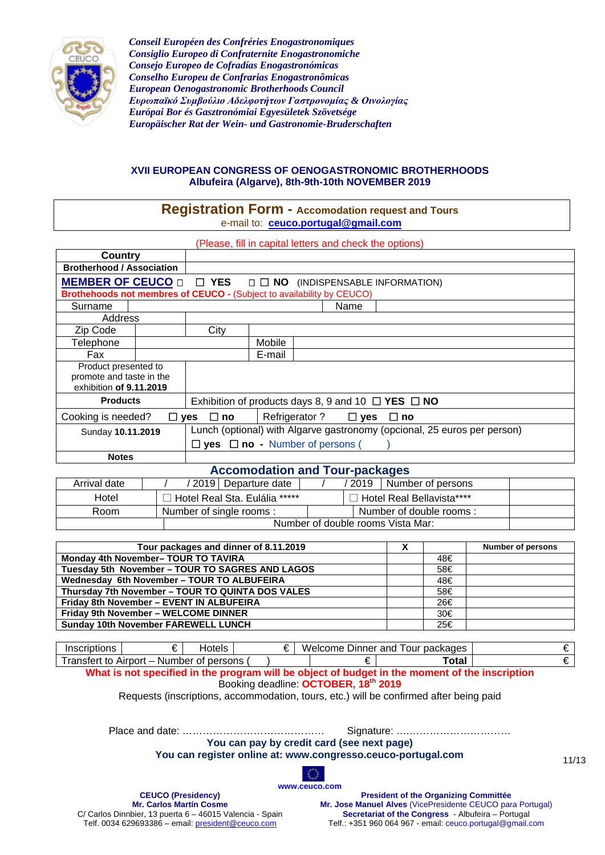

#### **XVII EUROPEAN CONGRESS OF OENOGASTRONOMIC BROTHERHOODS Albufeira (Algarve), 8th-9th-10th NOVEMBER 2019**

### **Registration Form - Accomodation request and Tours** e-mail to: **[ceuco.portugal@gmail.com](mailto:ceuco.portugal@gmail.com)**

(Please, fill in capital letters and check the options)

| Country                                                                     |  |                                                                          |        |               |               |                                                              |
|-----------------------------------------------------------------------------|--|--------------------------------------------------------------------------|--------|---------------|---------------|--------------------------------------------------------------|
| <b>Brotherhood / Association</b>                                            |  |                                                                          |        |               |               |                                                              |
| <b>MEMBER OF CEUCO O DI YES O DI NO (INDISPENSABLE INFORMATION)</b>         |  |                                                                          |        |               |               |                                                              |
| Brothehoods not membres of CEUCO - (Subject to availability by CEUCO)       |  |                                                                          |        |               |               |                                                              |
| Surname                                                                     |  |                                                                          |        |               | Name          |                                                              |
| Address                                                                     |  |                                                                          |        |               |               |                                                              |
| Zip Code                                                                    |  | City                                                                     |        |               |               |                                                              |
| Telephone                                                                   |  |                                                                          | Mobile |               |               |                                                              |
| Fax                                                                         |  |                                                                          | E-mail |               |               |                                                              |
| Product presented to<br>promote and taste in the<br>exhibition of 9.11.2019 |  |                                                                          |        |               |               |                                                              |
| <b>Products</b>                                                             |  |                                                                          |        |               |               | Exhibition of products days 8, 9 and 10 $\Box$ YES $\Box$ NO |
| Cooking is needed?<br>$\Box$ yes                                            |  | ⊟ no                                                                     |        | Refrigerator? | $\square$ yes | $\Box$ no                                                    |
| Sunday 10.11.2019                                                           |  | Lunch (optional) with Algarve gastronomy (opcional, 25 euros per person) |        |               |               |                                                              |
|                                                                             |  | $\Box$ yes $\Box$ no - Number of persons (                               |        |               |               |                                                              |
| <b>Notes</b>                                                                |  |                                                                          |        |               |               |                                                              |
| <b>Accomodation and Tour-packages</b>                                       |  |                                                                          |        |               |               |                                                              |

| Arrival date | / 2019   Departure date         | 2019<br>Number of persons         |  |  |  |
|--------------|---------------------------------|-----------------------------------|--|--|--|
| Hotel        | □ Hotel Real Sta. Eulália ***** | コ Hotel Real Bellavista****       |  |  |  |
| Room         | Number of single rooms:         | Number of double rooms:           |  |  |  |
|              |                                 | Number of double rooms Vista Mar: |  |  |  |

| Tour packages and dinner of 8.11.2019            | х |     | <b>Number of persons</b> |
|--------------------------------------------------|---|-----|--------------------------|
| <b>Monday 4th November- TOUR TO TAVIRA</b>       |   | 48€ |                          |
| Tuesday 5th November - TOUR TO SAGRES AND LAGOS  |   | 58€ |                          |
| Wednesday 6th November - TOUR TO ALBUFEIRA       |   | 48€ |                          |
| Thursday 7th November - TOUR TO QUINTA DOS VALES |   | 58€ |                          |
| Friday 8th November - EVENT IN ALBUFEIRA         |   | 26€ |                          |
| Friday 9th November - WELCOME DINNER             |   | 30€ |                          |
| <b>Sunday 10th November FAREWELL LUNCH</b>       |   | 25€ |                          |

Inscriptions  $\begin{array}{c|c|c|c|c|c} \n\hline\n\epsilon & \multicolumn{3}{c}{\text{Hotes}} & \multicolumn{3}{c}{\text{Hotes}} & \multicolumn{3}{c}{\text{Hence}} & \multicolumn{3}{c}{\text{Ione}} & \multicolumn{3}{c}{\text{Ione}} & \multicolumn{3}{c}{\text{Ione}} & \multicolumn{3}{c}{\text{Ione}} & \multicolumn{3}{c}{\text{Ione}} & \multicolumn{3}{c}{\text{Ione}} & \multicolumn{3}{c}{\text{Ione}} & \multicolumn{3}{c}{\text{Ione}} & \multicolumn{$ Transfert to Airport – Number of persons ( ) € **Total** €

**What is not specified in the program will be object of budget in the moment of the inscription** Booking deadline: **OCTOBER, 18th 2019**

Requests (inscriptions, accommodation, tours, etc.) will be confirmed after being paid

Place and date: …………………………………… Signature: ….…………………………

**You can pay by credit card (see next page)**

**You can register online at: www.congresso.ceuco-portugal.com**

C) **[www.ceuco.com](http://www.ceuco.com/)**

**CEUCO (Presidency) Mr. Carlos Martín Cosme** C/ Carlos Dinnbier, 13 puerta 6 – 46015 Valencia - Spain Telf. 0034 629693386 – email[: president@ceuco.com](mailto:president@ceuco.com)

**President of the Organizing Committée Mr. Jose Manuel Alves** (VicePresidente CEUCO para Portugal) **Secretariat of the Congress** - Albufeira – Portugal Telf.: +351 960 064 967 - email: ceuco.portugal@gmail.com

11/13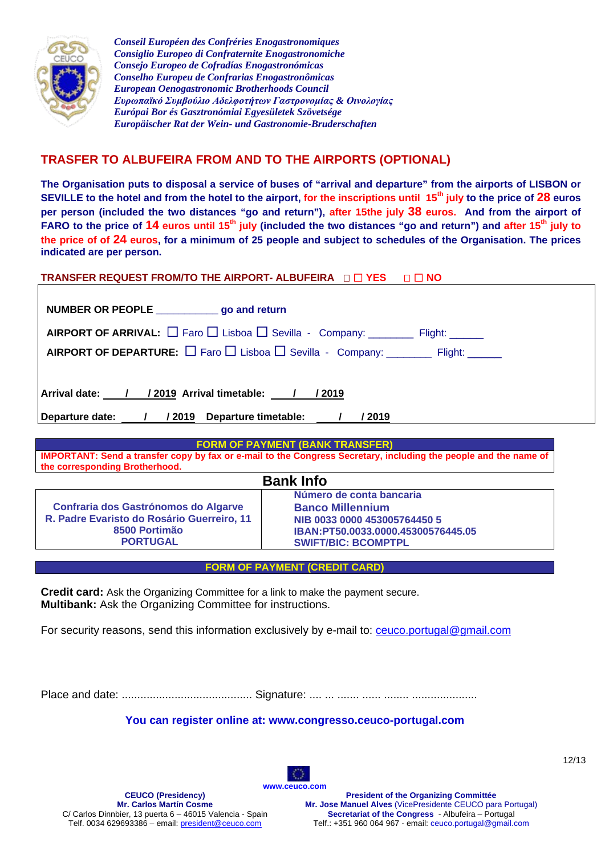

# **TRASFER TO ALBUFEIRA FROM AND TO THE AIRPORTS (OPTIONAL)**

**The Organisation puts to disposal a service of buses of "arrival and departure" from the airports of LISBON or SEVILLE to the hotel and from the hotel to the airport, for the inscriptions until 15th july to the price of 28 euros per person (included the two distances "go and return"), after 15the july 38 euros. And from the airport of FARO to the price of 14 euros until 15th july (included the two distances "go and return") and after 15th july to the price of of 24 euros, for a minimum of 25 people and subject to schedules of the Organisation. The prices indicated are per person.**

### **TRANSFER REQUEST FROM/TO THE AIRPORT- ALBUFEIRA**  $\Box$  **TYES**  $\Box$  **TO NO**

| NUMBER OR PEOPLE ____________go and return                                                                |  |  |
|-----------------------------------------------------------------------------------------------------------|--|--|
| <b>AIRPORT OF ARRIVAL:</b> $\Box$ Faro $\Box$ Lisboa $\Box$ Sevilla - Company: ________ Flight: ______    |  |  |
| <b>AIRPORT OF DEPARTURE:</b> $\Box$ Faro $\Box$ Lisboa $\Box$ Sevilla - Company: _________ Flight: ______ |  |  |
|                                                                                                           |  |  |
| Arrival date: / / / 2019 Arrival timetable: / / / 2019                                                    |  |  |
| Departure date: 1 / 2019 Departure timetable: 1 / 2019                                                    |  |  |

**FORM OF PAYMENT (BANK TRANSFER) IMPORTANT: Send a transfer copy by fax or e-mail to the Congress Secretary, including the people and the name of the corresponding Brotherhood.** 

| <b>Bank Info</b>                            |                                    |  |
|---------------------------------------------|------------------------------------|--|
|                                             | Número de conta bancaria           |  |
| <b>Confraria dos Gastrónomos do Algarve</b> | <b>Banco Millennium</b>            |  |
| R. Padre Evaristo do Rosário Guerreiro, 11  | NIB 0033 0000 453005764450 5       |  |
| 8500 Portimão                               | IBAN:PT50.0033.0000.45300576445.05 |  |
| <b>PORTUGAL</b>                             | <b>SWIFT/BIC: BCOMPTPL</b>         |  |

#### **FORM OF PAYMENT (CREDIT CARD)**

**Credit card:** Ask the Organizing Committee for a link to make the payment secure. **Multibank:** Ask the Organizing Committee for instructions.

For security reasons, send this information exclusively by e-mail to: [ceuco.portugal@gmail.com](mailto:ceuco.portugal@gmail.com)

Place and date: .......................................... Signature: .... ... ....... ...... ........ .....................

**You can register online at: www.congresso.ceuco-portugal.com**

**[www.ceuco.com](http://www.ceuco.com/)**

12/13